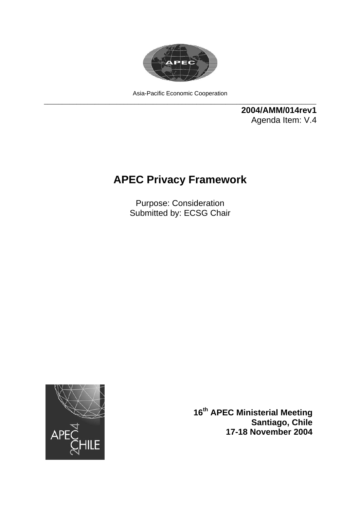

Asia-Pacific Economic Cooperation \_\_\_\_\_\_\_\_\_\_\_\_\_\_\_\_\_\_\_\_\_\_\_\_\_\_\_\_\_\_\_\_\_\_\_\_\_\_\_\_\_\_\_\_\_\_\_\_\_\_\_\_\_\_\_\_\_\_\_\_\_\_\_\_\_\_\_\_\_\_\_\_\_\_\_

> **2004/AMM/014rev1**  Agenda Item: V.4

# **APEC Privacy Framework**

Purpose: Consideration Submitted by: ECSG Chair



**16th APEC Ministerial Meeting Santiago, Chile 17-18 November 2004**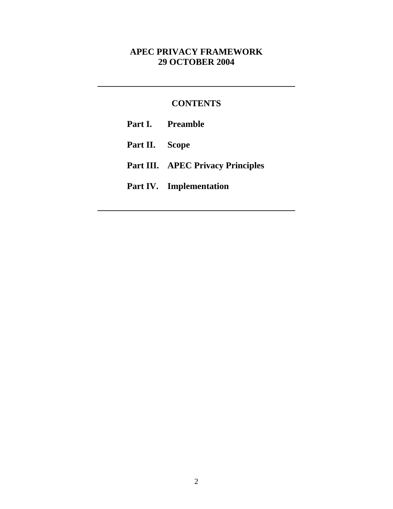# **APEC PRIVACY FRAMEWORK 29 OCTOBER 2004**

# **CONTENTS**

**\_\_\_\_\_\_\_\_\_\_\_\_\_\_\_\_\_\_\_\_\_\_\_\_\_\_\_\_\_\_\_\_\_\_\_\_\_\_\_\_\_\_\_\_** 

|                | <b>Part I.</b> Preamble           |
|----------------|-----------------------------------|
| Part II. Scope |                                   |
|                | Part III. APEC Privacy Principles |
|                | Part IV. Implementation           |

**\_\_\_\_\_\_\_\_\_\_\_\_\_\_\_\_\_\_\_\_\_\_\_\_\_\_\_\_\_\_\_\_\_\_\_\_\_\_\_\_\_\_\_\_**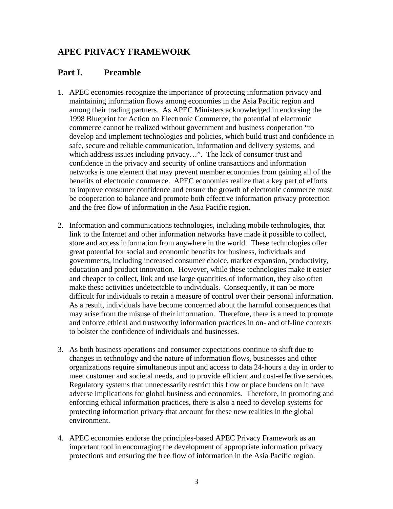# **APEC PRIVACY FRAMEWORK**

# **Part I. Preamble**

- 1. APEC economies recognize the importance of protecting information privacy and maintaining information flows among economies in the Asia Pacific region and among their trading partners. As APEC Ministers acknowledged in endorsing the 1998 Blueprint for Action on Electronic Commerce, the potential of electronic commerce cannot be realized without government and business cooperation "to develop and implement technologies and policies, which build trust and confidence in safe, secure and reliable communication, information and delivery systems, and which address issues including privacy...". The lack of consumer trust and confidence in the privacy and security of online transactions and information networks is one element that may prevent member economies from gaining all of the benefits of electronic commerce. APEC economies realize that a key part of efforts to improve consumer confidence and ensure the growth of electronic commerce must be cooperation to balance and promote both effective information privacy protection and the free flow of information in the Asia Pacific region.
- 2. Information and communications technologies, including mobile technologies, that link to the Internet and other information networks have made it possible to collect, store and access information from anywhere in the world. These technologies offer great potential for social and economic benefits for business, individuals and governments, including increased consumer choice, market expansion, productivity, education and product innovation. However, while these technologies make it easier and cheaper to collect, link and use large quantities of information, they also often make these activities undetectable to individuals. Consequently, it can be more difficult for individuals to retain a measure of control over their personal information. As a result, individuals have become concerned about the harmful consequences that may arise from the misuse of their information. Therefore, there is a need to promote and enforce ethical and trustworthy information practices in on- and off-line contexts to bolster the confidence of individuals and businesses.
- 3. As both business operations and consumer expectations continue to shift due to changes in technology and the nature of information flows, businesses and other organizations require simultaneous input and access to data 24-hours a day in order to meet customer and societal needs, and to provide efficient and cost-effective services. Regulatory systems that unnecessarily restrict this flow or place burdens on it have adverse implications for global business and economies. Therefore, in promoting and enforcing ethical information practices, there is also a need to develop systems for protecting information privacy that account for these new realities in the global environment.
- 4. APEC economies endorse the principles-based APEC Privacy Framework as an important tool in encouraging the development of appropriate information privacy protections and ensuring the free flow of information in the Asia Pacific region.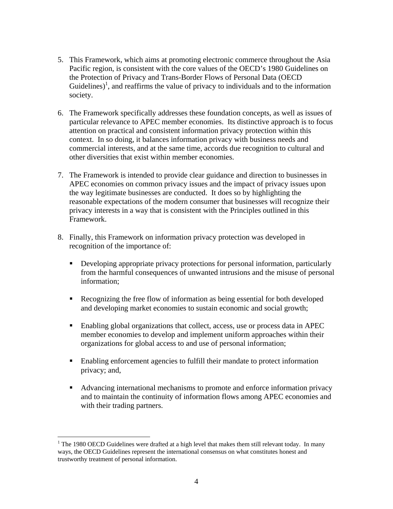- 5. This Framework, which aims at promoting electronic commerce throughout the Asia Pacific region, is consistent with the core values of the OECD's 1980 Guidelines on the Protection of Privacy and Trans-Border Flows of Personal Data (OECD Guidelines)<sup>1</sup>, and reaffirms the value of privacy to individuals and to the information society.
- 6. The Framework specifically addresses these foundation concepts, as well as issues of particular relevance to APEC member economies. Its distinctive approach is to focus attention on practical and consistent information privacy protection within this context. In so doing, it balances information privacy with business needs and commercial interests, and at the same time, accords due recognition to cultural and other diversities that exist within member economies.
- 7. The Framework is intended to provide clear guidance and direction to businesses in APEC economies on common privacy issues and the impact of privacy issues upon the way legitimate businesses are conducted. It does so by highlighting the reasonable expectations of the modern consumer that businesses will recognize their privacy interests in a way that is consistent with the Principles outlined in this Framework.
- 8. Finally, this Framework on information privacy protection was developed in recognition of the importance of:
	- Developing appropriate privacy protections for personal information, particularly from the harmful consequences of unwanted intrusions and the misuse of personal information;
	- Recognizing the free flow of information as being essential for both developed and developing market economies to sustain economic and social growth;
	- Enabling global organizations that collect, access, use or process data in APEC member economies to develop and implement uniform approaches within their organizations for global access to and use of personal information;
	- Enabling enforcement agencies to fulfill their mandate to protect information privacy; and,
	- Advancing international mechanisms to promote and enforce information privacy and to maintain the continuity of information flows among APEC economies and with their trading partners.

 $\overline{a}$ 

<sup>&</sup>lt;sup>1</sup> The 1980 OECD Guidelines were drafted at a high level that makes them still relevant today. In many ways, the OECD Guidelines represent the international consensus on what constitutes honest and trustworthy treatment of personal information.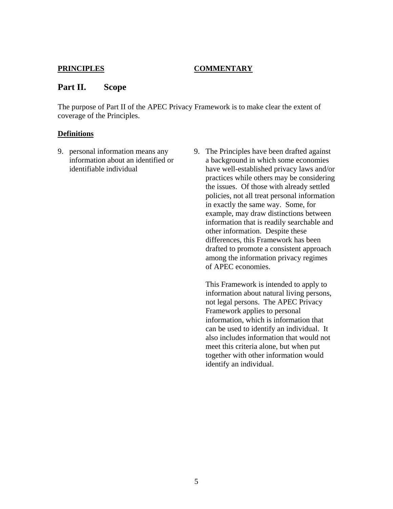# **Part II. Scope**

The purpose of Part II of the APEC Privacy Framework is to make clear the extent of coverage of the Principles.

# **Definitions**

- 9. personal information means any information about an identified or identifiable individual
- 9. The Principles have been drafted against a background in which some economies have well-established privacy laws and/or practices while others may be considering the issues. Of those with already settled policies, not all treat personal information in exactly the same way. Some, for example, may draw distinctions between information that is readily searchable and other information. Despite these differences, this Framework has been drafted to promote a consistent approach among the information privacy regimes of APEC economies.

This Framework is intended to apply to information about natural living persons, not legal persons. The APEC Privacy Framework applies to personal information, which is information that can be used to identify an individual. It also includes information that would not meet this criteria alone, but when put together with other information would identify an individual.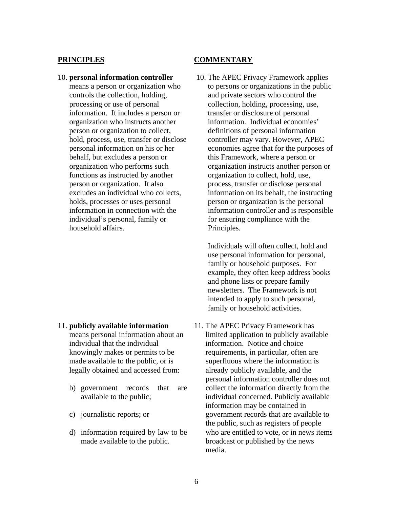10. **personal information controller** means a person or organization who controls the collection, holding, processing or use of personal information. It includes a person or organization who instructs another person or organization to collect, hold, process, use, transfer or disclose personal information on his or her behalf, but excludes a person or organization who performs such functions as instructed by another person or organization. It also excludes an individual who collects, holds, processes or uses personal information in connection with the individual's personal, family or household affairs.

- 11. **publicly available information** means personal information about an individual that the individual
	- knowingly makes or permits to be made available to the public, or is legally obtained and accessed from:
	- b) government records that are available to the public;
	- c) journalistic reports; or
	- d) information required by law to be made available to the public.

### **PRINCIPLES COMMENTARY**

10. The APEC Privacy Framework applies to persons or organizations in the public and private sectors who control the collection, holding, processing, use, transfer or disclosure of personal information. Individual economies' definitions of personal information controller may vary. However, APEC economies agree that for the purposes of this Framework, where a person or organization instructs another person or organization to collect, hold, use, process, transfer or disclose personal information on its behalf, the instructing person or organization is the personal information controller and is responsible for ensuring compliance with the Principles.

Individuals will often collect, hold and use personal information for personal, family or household purposes. For example, they often keep address books and phone lists or prepare family newsletters. The Framework is not intended to apply to such personal, family or household activities.

11. The APEC Privacy Framework has limited application to publicly available information. Notice and choice requirements, in particular, often are superfluous where the information is already publicly available, and the personal information controller does not collect the information directly from the individual concerned. Publicly available information may be contained in government records that are available to the public, such as registers of people who are entitled to vote, or in news items broadcast or published by the news media.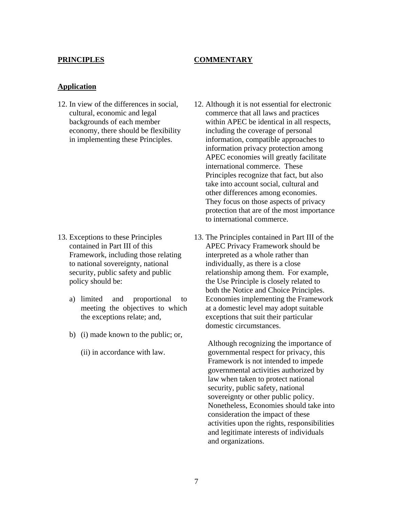#### **Application**

12. In view of the differences in social, cultural, economic and legal backgrounds of each member economy, there should be flexibility in implementing these Principles.

- 13. Exceptions to these Principles contained in Part III of this Framework, including those relating to national sovereignty, national security, public safety and public policy should be:
	- a) limited and proportional to meeting the objectives to which the exceptions relate; and,
	- b) (i) made known to the public; or,
		- (ii) in accordance with law.
- 12. Although it is not essential for electronic commerce that all laws and practices within APEC be identical in all respects, including the coverage of personal information, compatible approaches to information privacy protection among APEC economies will greatly facilitate international commerce. These Principles recognize that fact, but also take into account social, cultural and other differences among economies. They focus on those aspects of privacy protection that are of the most importance to international commerce.
- 13. The Principles contained in Part III of the APEC Privacy Framework should be interpreted as a whole rather than individually, as there is a close relationship among them. For example, the Use Principle is closely related to both the Notice and Choice Principles. Economies implementing the Framework at a domestic level may adopt suitable exceptions that suit their particular domestic circumstances.

Although recognizing the importance of governmental respect for privacy, this Framework is not intended to impede governmental activities authorized by law when taken to protect national security, public safety, national sovereignty or other public policy. Nonetheless, Economies should take into consideration the impact of these activities upon the rights, responsibilities and legitimate interests of individuals and organizations.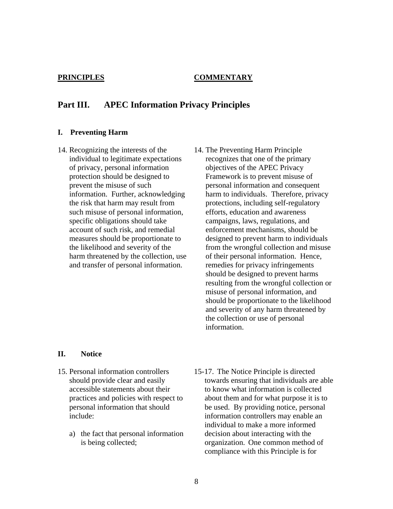# **Part III. APEC Information Privacy Principles**

#### **I. Preventing Harm**

- 14. Recognizing the interests of the individual to legitimate expectations of privacy, personal information protection should be designed to prevent the misuse of such information. Further, acknowledging the risk that harm may result from such misuse of personal information, specific obligations should take account of such risk, and remedial measures should be proportionate to the likelihood and severity of the harm threatened by the collection, use and transfer of personal information.
- 14. The Preventing Harm Principle recognizes that one of the primary objectives of the APEC Privacy Framework is to prevent misuse of personal information and consequent harm to individuals. Therefore, privacy protections, including self-regulatory efforts, education and awareness campaigns, laws, regulations, and enforcement mechanisms, should be designed to prevent harm to individuals from the wrongful collection and misuse of their personal information. Hence, remedies for privacy infringements should be designed to prevent harms resulting from the wrongful collection or misuse of personal information, and should be proportionate to the likelihood and severity of any harm threatened by the collection or use of personal information.

#### **II. Notice**

- 15. Personal information controllers should provide clear and easily accessible statements about their practices and policies with respect to personal information that should include:
	- a) the fact that personal information is being collected;
- 15-17. The Notice Principle is directed towards ensuring that individuals are able to know what information is collected about them and for what purpose it is to be used. By providing notice, personal information controllers may enable an individual to make a more informed decision about interacting with the organization. One common method of compliance with this Principle is for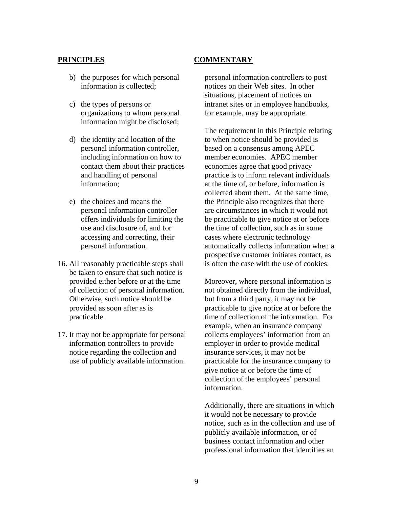- b) the purposes for which personal information is collected;
- c) the types of persons or organizations to whom personal information might be disclosed;
- d) the identity and location of the personal information controller, including information on how to contact them about their practices and handling of personal information;
- e) the choices and means the personal information controller offers individuals for limiting the use and disclosure of, and for accessing and correcting, their personal information.
- 16. All reasonably practicable steps shall be taken to ensure that such notice is provided either before or at the time of collection of personal information. Otherwise, such notice should be provided as soon after as is practicable.
- 17. It may not be appropriate for personal information controllers to provide notice regarding the collection and use of publicly available information.

personal information controllers to post notices on their Web sites. In other situations, placement of notices on intranet sites or in employee handbooks, for example, may be appropriate.

The requirement in this Principle relating to when notice should be provided is based on a consensus among APEC member economies. APEC member economies agree that good privacy practice is to inform relevant individuals at the time of, or before, information is collected about them. At the same time, the Principle also recognizes that there are circumstances in which it would not be practicable to give notice at or before the time of collection, such as in some cases where electronic technology automatically collects information when a prospective customer initiates contact, as is often the case with the use of cookies.

Moreover, where personal information is not obtained directly from the individual, but from a third party, it may not be practicable to give notice at or before the time of collection of the information. For example, when an insurance company collects employees' information from an employer in order to provide medical insurance services, it may not be practicable for the insurance company to give notice at or before the time of collection of the employees' personal information.

Additionally, there are situations in which it would not be necessary to provide notice, such as in the collection and use of publicly available information, or of business contact information and other professional information that identifies an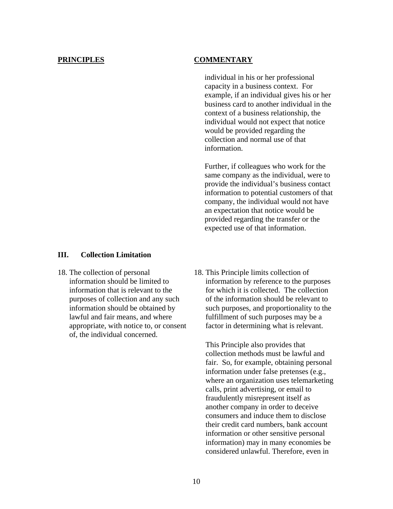individual in his or her professional capacity in a business context. For example, if an individual gives his or her business card to another individual in the context of a business relationship, the individual would not expect that notice would be provided regarding the collection and normal use of that information.

Further, if colleagues who work for the same company as the individual, were to provide the individual's business contact information to potential customers of that company, the individual would not have an expectation that notice would be provided regarding the transfer or the expected use of that information.

### **III. Collection Limitation**

- 18. The collection of personal information should be limited to information that is relevant to the purposes of collection and any such information should be obtained by lawful and fair means, and where appropriate, with notice to, or consent of, the individual concerned.
- 18. This Principle limits collection of information by reference to the purposes for which it is collected. The collection of the information should be relevant to such purposes, and proportionality to the fulfillment of such purposes may be a factor in determining what is relevant.

This Principle also provides that collection methods must be lawful and fair. So, for example, obtaining personal information under false pretenses (e.g., where an organization uses telemarketing calls, print advertising, or email to fraudulently misrepresent itself as another company in order to deceive consumers and induce them to disclose their credit card numbers, bank account information or other sensitive personal information) may in many economies be considered unlawful. Therefore, even in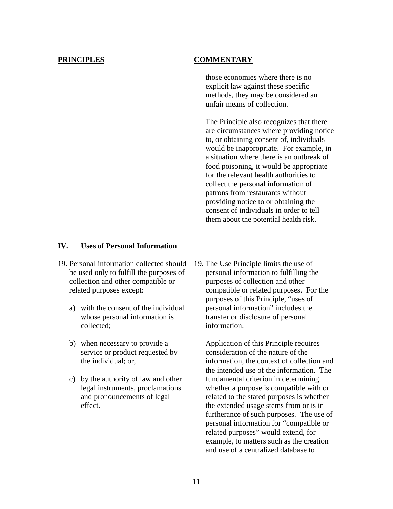those economies where there is no explicit law against these specific methods, they may be considered an unfair means of collection.

The Principle also recognizes that there are circumstances where providing notice to, or obtaining consent of, individuals would be inappropriate. For example, in a situation where there is an outbreak of food poisoning, it would be appropriate for the relevant health authorities to collect the personal information of patrons from restaurants without providing notice to or obtaining the consent of individuals in order to tell them about the potential health risk.

### **IV. Uses of Personal Information**

- 19. Personal information collected should be used only to fulfill the purposes of collection and other compatible or related purposes except:
	- a) with the consent of the individual whose personal information is collected;
	- b) when necessary to provide a service or product requested by the individual; or,
	- c) by the authority of law and other legal instruments, proclamations and pronouncements of legal effect.
- 19. The Use Principle limits the use of personal information to fulfilling the purposes of collection and other compatible or related purposes. For the purposes of this Principle, "uses of personal information" includes the transfer or disclosure of personal information.

Application of this Principle requires consideration of the nature of the information, the context of collection and the intended use of the information. The fundamental criterion in determining whether a purpose is compatible with or related to the stated purposes is whether the extended usage stems from or is in furtherance of such purposes. The use of personal information for "compatible or related purposes" would extend, for example, to matters such as the creation and use of a centralized database to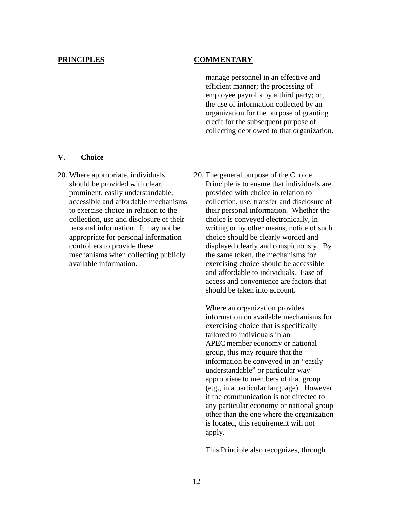manage personnel in an effective and efficient manner; the processing of employee payrolls by a third party; or, the use of information collected by an organization for the purpose of granting credit for the subsequent purpose of collecting debt owed to that organization.

### **V. Choice**

- 20. Where appropriate, individuals should be provided with clear, prominent, easily understandable, accessible and affordable mechanisms to exercise choice in relation to the collection, use and disclosure of their personal information. It may not be appropriate for personal information controllers to provide these mechanisms when collecting publicly available information.
- 20. The general purpose of the Choice Principle is to ensure that individuals are provided with choice in relation to collection, use, transfer and disclosure of their personal information. Whether the choice is conveyed electronically, in writing or by other means, notice of such choice should be clearly worded and displayed clearly and conspicuously. By the same token, the mechanisms for exercising choice should be accessible and affordable to individuals. Ease of access and convenience are factors that should be taken into account.

Where an organization provides information on available mechanisms for exercising choice that is specifically tailored to individuals in an APEC member economy or national group, this may require that the information be conveyed in an "easily understandable" or particular way appropriate to members of that group (e.g., in a particular language). However if the communication is not directed to any particular economy or national group other than the one where the organization is located, this requirement will not apply.

This Principle also recognizes, through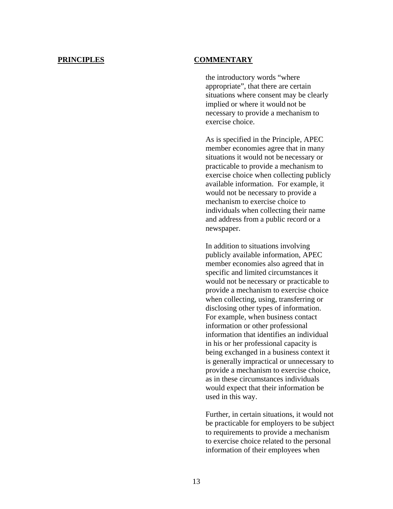the introductory words "where appropriate", that there are certain situations where consent may be clearly implied or where it would not be necessary to provide a mechanism to exercise choice.

As is specified in the Principle, APEC member economies agree that in many situations it would not be necessary or practicable to provide a mechanism to exercise choice when collecting publicly available information. For example, it would not be necessary to provide a mechanism to exercise choice to individuals when collecting their name and address from a public record or a newspaper.

In addition to situations involving publicly available information, APEC member economies also agreed that in specific and limited circumstances it would not be necessary or practicable to provide a mechanism to exercise choice when collecting, using, transferring or disclosing other types of information. For example, when business contact information or other professional information that identifies an individual in his or her professional capacity is being exchanged in a business context it is generally impractical or unnecessary to provide a mechanism to exercise choice, as in these circumstances individuals would expect that their information be used in this way.

Further, in certain situations, it would not be practicable for employers to be subject to requirements to provide a mechanism to exercise choice related to the personal information of their employees when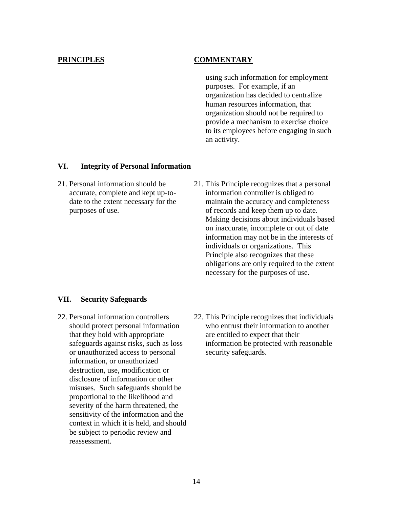using such information for employment purposes. For example, if an organization has decided to centralize human resources information, that organization should not be required to provide a mechanism to exercise choice to its employees before engaging in such an activity.

### **VI. Integrity of Personal Information**

- 21. Personal information should be accurate, complete and kept up-todate to the extent necessary for the purposes of use.
- 21. This Principle recognizes that a personal information controller is obliged to maintain the accuracy and completeness of records and keep them up to date. Making decisions about individuals based on inaccurate, incomplete or out of date information may not be in the interests of individuals or organizations. This Principle also recognizes that these obligations are only required to the extent necessary for the purposes of use.

#### **VII. Security Safeguards**

- 22. Personal information controllers should protect personal information that they hold with appropriate safeguards against risks, such as loss or unauthorized access to personal information, or unauthorized destruction, use, modification or disclosure of information or other misuses. Such safeguards should be proportional to the likelihood and severity of the harm threatened, the sensitivity of the information and the context in which it is held, and should be subject to periodic review and reassessment.
- 22. This Principle recognizes that individuals who entrust their information to another are entitled to expect that their information be protected with reasonable security safeguards.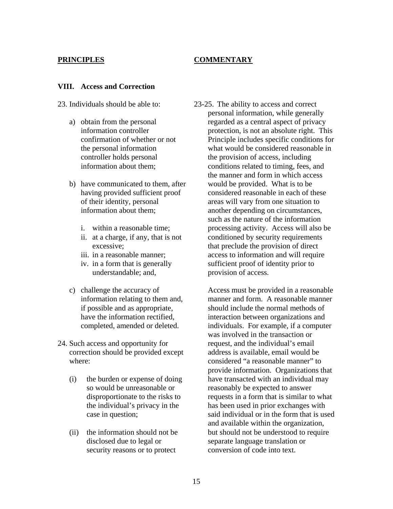### **VIII. Access and Correction**

23. Individuals should be able to:

- a) obtain from the personal information controller confirmation of whether or not the personal information controller holds personal information about them;
- b) have communicated to them, after having provided sufficient proof of their identity, personal information about them;
	- i. within a reasonable time;
	- ii. at a charge, if any, that is not excessive;
	- iii. in a reasonable manner;
	- iv. in a form that is generally understandable; and,
- c) challenge the accuracy of information relating to them and, if possible and as appropriate, have the information rectified, completed, amended or deleted.
- 24. Such access and opportunity for correction should be provided except where:
	- (i) the burden or expense of doing so would be unreasonable or disproportionate to the risks to the individual's privacy in the case in question;
	- (ii) the information should not be disclosed due to legal or security reasons or to protect

23-25. The ability to access and correct personal information, while generally regarded as a central aspect of privacy protection, is not an absolute right. This Principle includes specific conditions for what would be considered reasonable in the provision of access, including conditions related to timing, fees, and the manner and form in which access would be provided. What is to be considered reasonable in each of these areas will vary from one situation to another depending on circumstances, such as the nature of the information processing activity. Access will also be conditioned by security requirements that preclude the provision of direct access to information and will require sufficient proof of identity prior to provision of access.

> Access must be provided in a reasonable manner and form. A reasonable manner should include the normal methods of interaction between organizations and individuals. For example, if a computer was involved in the transaction or request, and the individual's email address is available, email would be considered "a reasonable manner" to provide information. Organizations that have transacted with an individual may reasonably be expected to answer requests in a form that is similar to what has been used in prior exchanges with said individual or in the form that is used and available within the organization, but should not be understood to require separate language translation or conversion of code into text.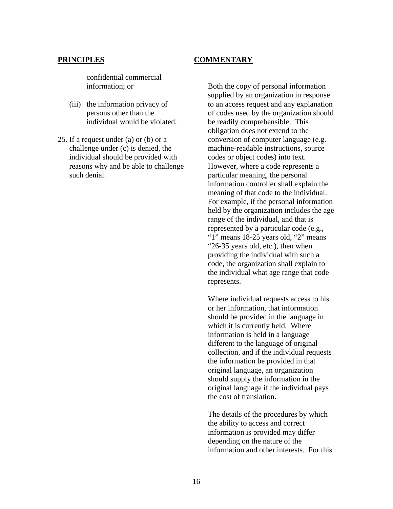confidential commercial information; or

- (iii) the information privacy of persons other than the individual would be violated.
- 25. If a request under (a) or (b) or a challenge under (c) is denied, the individual should be provided with reasons why and be able to challenge such denial.

### **PRINCIPLES COMMENTARY**

Both the copy of personal information supplied by an organization in response to an access request and any explanation of codes used by the organization should be readily comprehensible. This obligation does not extend to the conversion of computer language (e.g. machine-readable instructions, source codes or object codes) into text. However, where a code represents a particular meaning, the personal information controller shall explain the meaning of that code to the individual. For example, if the personal information held by the organization includes the age range of the individual, and that is represented by a particular code (e.g., "1" means 18-25 years old, "2" means "26-35 years old, etc.), then when providing the individual with such a code, the organization shall explain to the individual what age range that code represents.

Where individual requests access to his or her information, that information should be provided in the language in which it is currently held. Where information is held in a language different to the language of original collection, and if the individual requests the information be provided in that original language, an organization should supply the information in the original language if the individual pays the cost of translation.

The details of the procedures by which the ability to access and correct information is provided may differ depending on the nature of the information and other interests. For this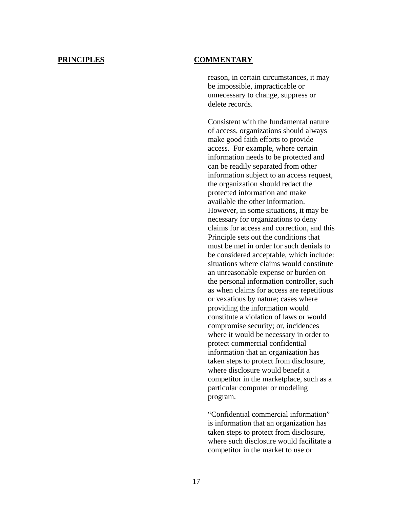reason, in certain circumstances, it may be impossible, impracticable or unnecessary to change, suppress or delete records.

Consistent with the fundamental nature of access, organizations should always make good faith efforts to provide access. For example, where certain information needs to be protected and can be readily separated from other information subject to an access request, the organization should redact the protected information and make available the other information. However, in some situations, it may be necessary for organizations to deny claims for access and correction, and this Principle sets out the conditions that must be met in order for such denials to be considered acceptable, which include: situations where claims would constitute an unreasonable expense or burden on the personal information controller, such as when claims for access are repetitious or vexatious by nature; cases where providing the information would constitute a violation of laws or would compromise security; or, incidences where it would be necessary in order to protect commercial confidential information that an organization has taken steps to protect from disclosure, where disclosure would benefit a competitor in the marketplace, such as a particular computer or modeling program.

"Confidential commercial information" is information that an organization has taken steps to protect from disclosure, where such disclosure would facilitate a competitor in the market to use or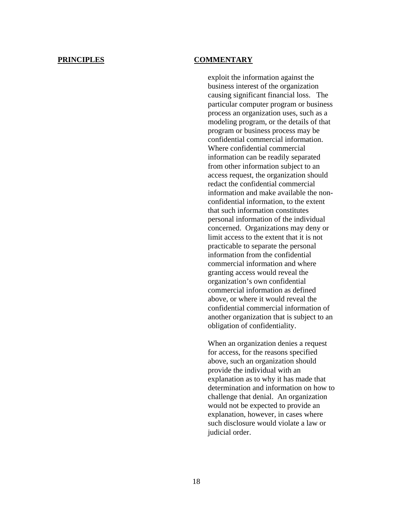exploit the information against the business interest of the organization causing significant financial loss. The particular computer program or business process an organization uses, such as a modeling program, or the details of that program or business process may be confidential commercial information. Where confidential commercial information can be readily separated from other information subject to an access request, the organization should redact the confidential commercial information and make available the nonconfidential information, to the extent that such information constitutes personal information of the individual concerned. Organizations may deny or limit access to the extent that it is not practicable to separate the personal information from the confidential commercial information and where granting access would reveal the organization's own confidential commercial information as defined above, or where it would reveal the confidential commercial information of another organization that is subject to an obligation of confidentiality.

When an organization denies a request for access, for the reasons specified above, such an organization should provide the individual with an explanation as to why it has made that determination and information on how to challenge that denial. An organization would not be expected to provide an explanation, however, in cases where such disclosure would violate a law or judicial order.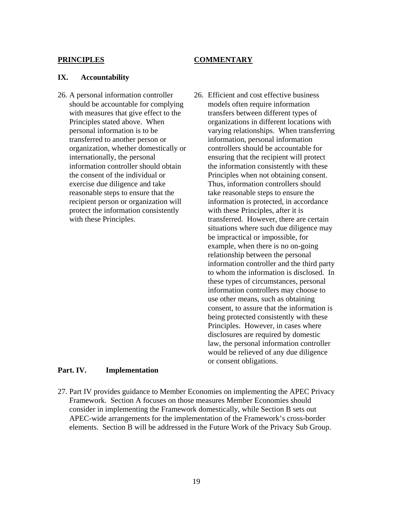### **IX. Accountability**

- 26. A personal information controller should be accountable for complying with measures that give effect to the Principles stated above. When personal information is to be transferred to another person or organization, whether domestically or internationally, the personal information controller should obtain the consent of the individual or exercise due diligence and take reasonable steps to ensure that the recipient person or organization will protect the information consistently with these Principles.
- 26. Efficient and cost effective business models often require information transfers between different types of organizations in different locations with varying relationships. When transferring information, personal information controllers should be accountable for ensuring that the recipient will protect the information consistently with these Principles when not obtaining consent. Thus, information controllers should take reasonable steps to ensure the information is protected, in accordance with these Principles, after it is transferred. However, there are certain situations where such due diligence may be impractical or impossible, for example, when there is no on-going relationship between the personal information controller and the third party to whom the information is disclosed. In these types of circumstances, personal information controllers may choose to use other means, such as obtaining consent, to assure that the information is being protected consistently with these Principles. However, in cases where disclosures are required by domestic law, the personal information controller would be relieved of any due diligence or consent obligations.

### **Part. IV. Implementation**

27. Part IV provides guidance to Member Economies on implementing the APEC Privacy Framework. Section A focuses on those measures Member Economies should consider in implementing the Framework domestically, while Section B sets out APEC-wide arrangements for the implementation of the Framework's cross-border elements. Section B will be addressed in the Future Work of the Privacy Sub Group.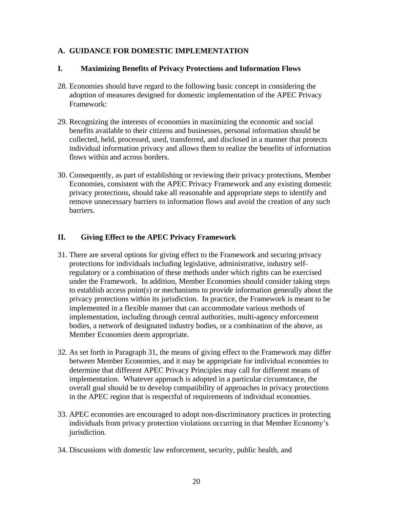# **A. GUIDANCE FOR DOMESTIC IMPLEMENTATION**

# **I. Maximizing Benefits of Privacy Protections and Information Flows**

- 28. Economies should have regard to the following basic concept in considering the adoption of measures designed for domestic implementation of the APEC Privacy Framework:
- 29. Recognizing the interests of economies in maximizing the economic and social benefits available to their citizens and businesses, personal information should be collected, held, processed, used, transferred, and disclosed in a manner that protects individual information privacy and allows them to realize the benefits of information flows within and across borders.
- 30. Consequently, as part of establishing or reviewing their privacy protections, Member Economies, consistent with the APEC Privacy Framework and any existing domestic privacy protections, should take all reasonable and appropriate steps to identify and remove unnecessary barriers to information flows and avoid the creation of any such barriers.

# **II. Giving Effect to the APEC Privacy Framework**

- 31. There are several options for giving effect to the Framework and securing privacy protections for individuals including legislative, administrative, industry selfregulatory or a combination of these methods under which rights can be exercised under the Framework. In addition, Member Economies should consider taking steps to establish access point(s) or mechanisms to provide information generally about the privacy protections within its jurisdiction. In practice, the Framework is meant to be implemented in a flexible manner that can accommodate various methods of implementation, including through central authorities, multi-agency enforcement bodies, a network of designated industry bodies, or a combination of the above, as Member Economies deem appropriate.
- 32. As set forth in Paragraph 31, the means of giving effect to the Framework may differ between Member Economies, and it may be appropriate for individual economies to determine that different APEC Privacy Principles may call for different means of implementation. Whatever approach is adopted in a particular circumstance, the overall goal should be to develop compatibility of approaches in privacy protections in the APEC region that is respectful of requirements of individual economies.
- 33. APEC economies are encouraged to adopt non-discriminatory practices in protecting individuals from privacy protection violations occurring in that Member Economy's jurisdiction.
- 34. Discussions with domestic law enforcement, security, public health, and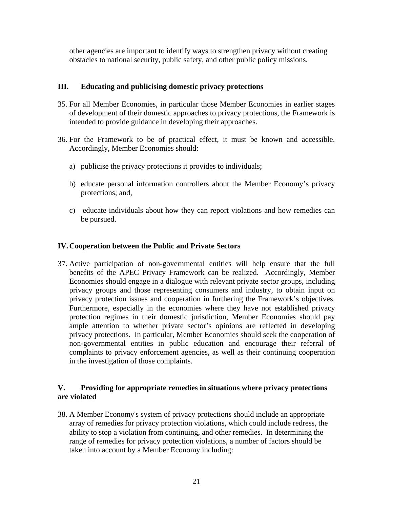other agencies are important to identify ways to strengthen privacy without creating obstacles to national security, public safety, and other public policy missions.

# **III. Educating and publicising domestic privacy protections**

- 35. For all Member Economies, in particular those Member Economies in earlier stages of development of their domestic approaches to privacy protections, the Framework is intended to provide guidance in developing their approaches.
- 36. For the Framework to be of practical effect, it must be known and accessible. Accordingly, Member Economies should:
	- a) publicise the privacy protections it provides to individuals;
	- b) educate personal information controllers about the Member Economy's privacy protections; and,
	- c) educate individuals about how they can report violations and how remedies can be pursued.

# **IV. Cooperation between the Public and Private Sectors**

37. Active participation of non-governmental entities will help ensure that the full benefits of the APEC Privacy Framework can be realized. Accordingly, Member Economies should engage in a dialogue with relevant private sector groups, including privacy groups and those representing consumers and industry, to obtain input on privacy protection issues and cooperation in furthering the Framework's objectives. Furthermore, especially in the economies where they have not established privacy protection regimes in their domestic jurisdiction, Member Economies should pay ample attention to whether private sector's opinions are reflected in developing privacy protections. In particular, Member Economies should seek the cooperation of non-governmental entities in public education and encourage their referral of complaints to privacy enforcement agencies, as well as their continuing cooperation in the investigation of those complaints.

# **V. Providing for appropriate remedies in situations where privacy protections are violated**

38. A Member Economy's system of privacy protections should include an appropriate array of remedies for privacy protection violations, which could include redress, the ability to stop a violation from continuing, and other remedies. In determining the range of remedies for privacy protection violations, a number of factors should be taken into account by a Member Economy including: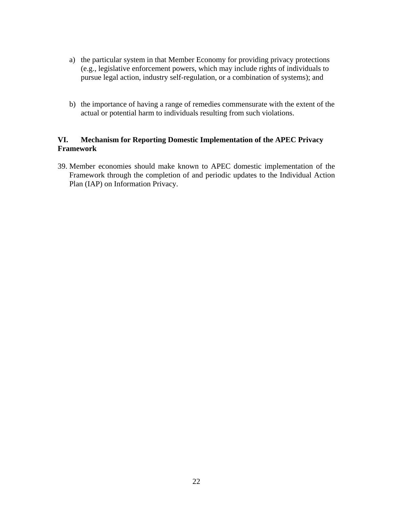- a) the particular system in that Member Economy for providing privacy protections (e.g., legislative enforcement powers, which may include rights of individuals to pursue legal action, industry self-regulation, or a combination of systems); and
- b) the importance of having a range of remedies commensurate with the extent of the actual or potential harm to individuals resulting from such violations.

# **VI. Mechanism for Reporting Domestic Implementation of the APEC Privacy Framework**

39. Member economies should make known to APEC domestic implementation of the Framework through the completion of and periodic updates to the Individual Action Plan (IAP) on Information Privacy.